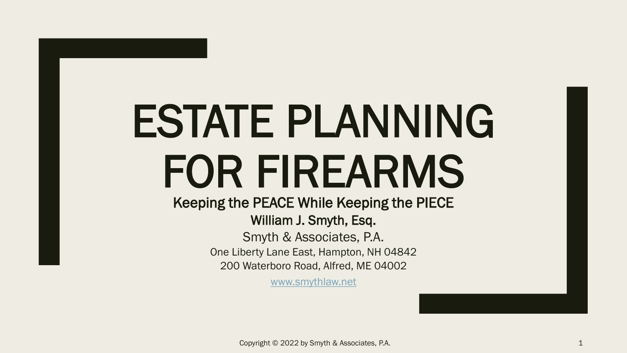# ESTATE PLANNING FOR FIREARMS

Keeping the PEACE While Keeping the PIECE William J. Smyth, Esq.

> Smyth & Associates, P.A. One Liberty Lane East, Hampton, NH 04842 200 Waterboro Road, Alfred, ME 04002

> > [www.smythlaw.net](http://www.smythlaw.net/)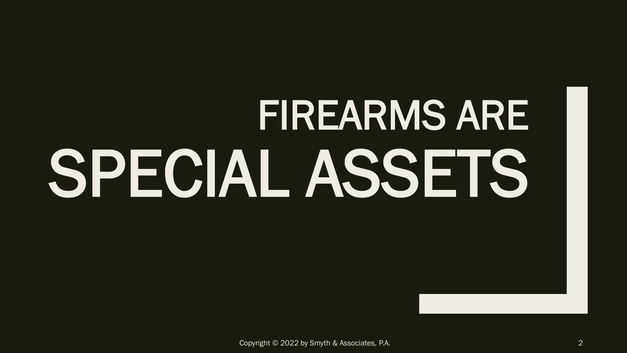# FIREARMS ARE SPECIAL ASSETS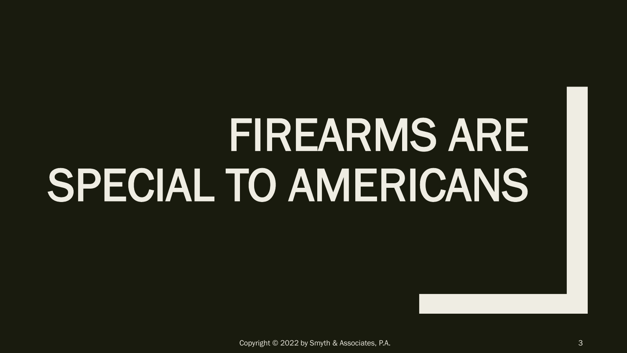# FIREARMS ARE SPECIAL TO AMERICANS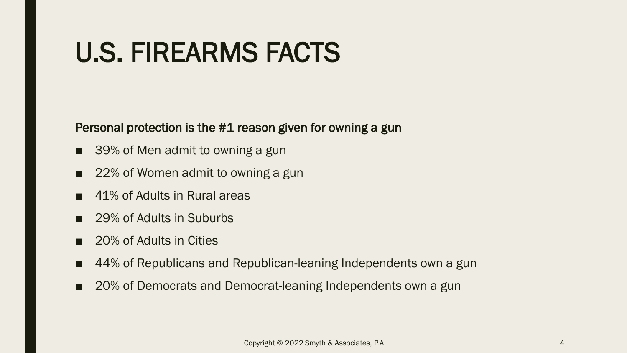#### U.S. FIREARMS FACTS

#### Personal protection is the #1 reason given for owning a gun

- 39% of Men admit to owning a gun
- 22% of Women admit to owning a gun
- 41% of Adults in Rural areas
- 29% of Adults in Suburbs
- 20% of Adults in Cities
- 44% of Republicans and Republican-leaning Independents own a gun
- 20% of Democrats and Democrat-leaning Independents own a gun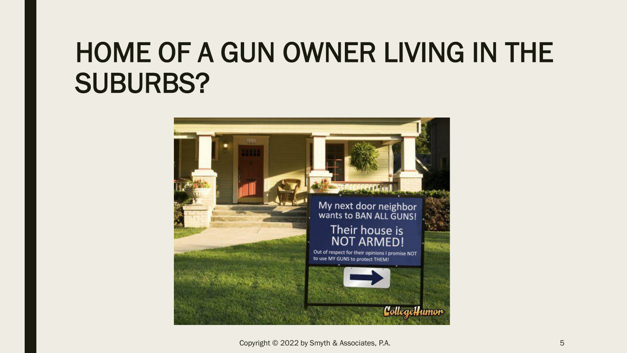#### HOME OF A GUN OWNER LIVING IN THE SUBURBS?



Copyright © 2022 by Smyth & Associates, P.A. 5 and 2022 by Smyth & Associates, P.A.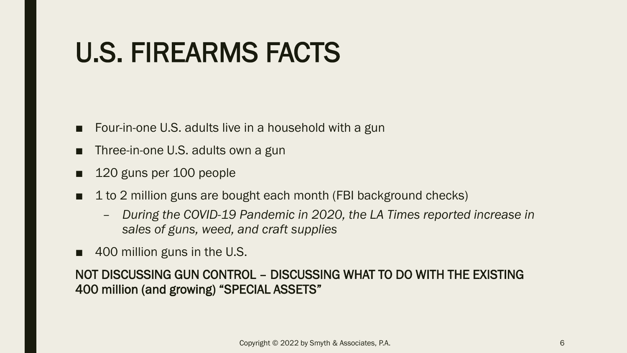### U.S. FIREARMS FACTS

- Four-in-one U.S. adults live in a household with a gun
- Three-in-one U.S. adults own a gun
- 120 guns per 100 people
- 1 to 2 million guns are bought each month (FBI background checks)
	- *During the COVID-19 Pandemic in 2020, the LA Times reported increase in sales of guns, weed, and craft supplies*
- 400 million guns in the U.S.

#### NOT DISCUSSING GUN CONTROL – DISCUSSING WHAT TO DO WITH THE EXISTING 400 million (and growing) "SPECIAL ASSETS"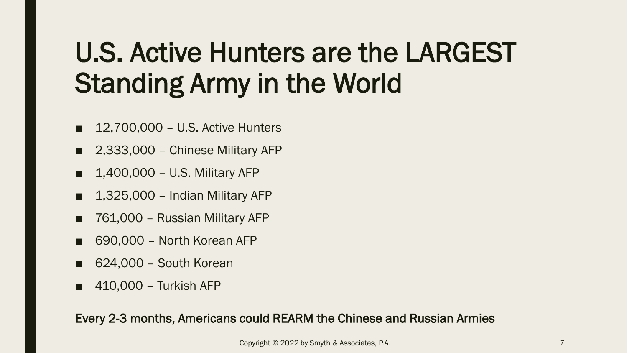### U.S. Active Hunters are the LARGEST Standing Army in the World

- 12,700,000 U.S. Active Hunters
- 2,333,000 Chinese Military AFP
- 1,400,000 U.S. Military AFP
- 1,325,000 Indian Military AFP
- 761,000 Russian Military AFP
- 690,000 North Korean AFP
- 624,000 South Korean
- 410,000 Turkish AFP

Every 2-3 months, Americans could REARM the Chinese and Russian Armies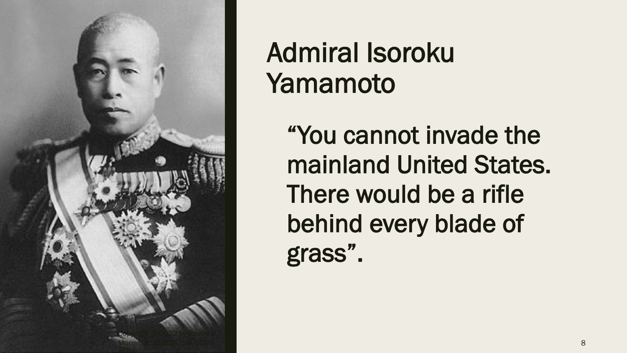

#### Admiral Isoroku Yamamoto

"You cannot invade the mainland United States. There would be a rifle behind every blade of grass".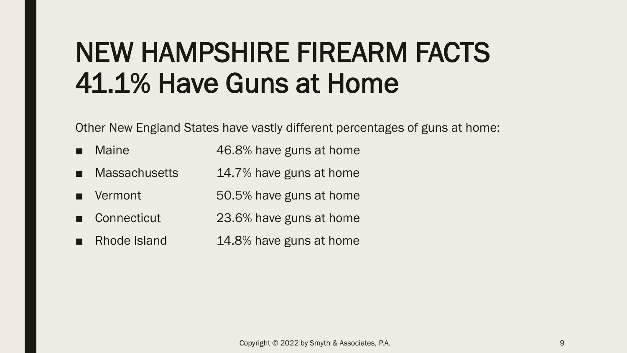#### NEW HAMPSHIRE FIREARM FACTS 41.1% Have Guns at Home

Other New England States have vastly different percentages of guns at home:

- Maine **46.8%** have guns at home
- Massachusetts 14.7% have guns at home
- Vermont 50.5% have guns at home
- Connecticut 23.6% have guns at home
- Rhode Island 14.8% have guns at home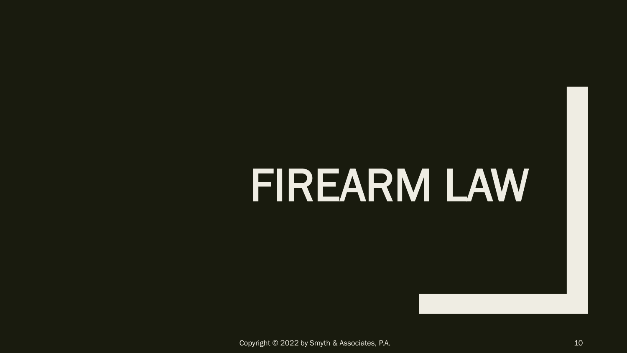## FIREARM LAW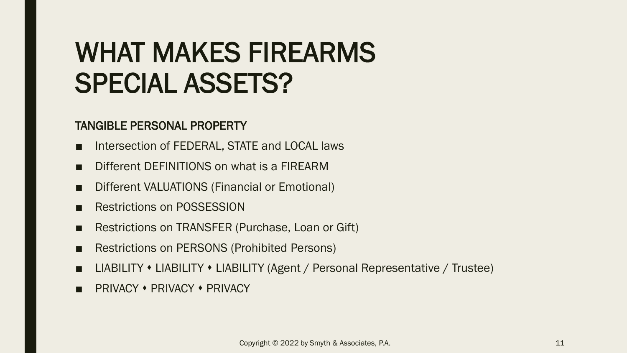#### WHAT MAKES FIREARMS SPECIAL ASSETS?

#### TANGIBLE PERSONAL PROPERTY

- Intersection of FEDERAL, STATE and LOCAL laws
- Different DEFINITIONS on what is a FIREARM
- Different VALUATIONS (Financial or Emotional)
- **Restrictions on POSSESSION**
- Restrictions on TRANSFER (Purchase, Loan or Gift)
- Restrictions on PERSONS (Prohibited Persons)
- LIABILITY LIABILITY LIABILITY (Agent / Personal Representative / Trustee)
- PRIVACY ◆ PRIVACY ◆ PRIVACY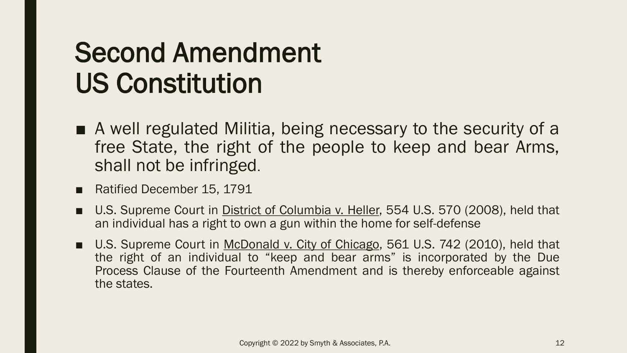#### Second Amendment US Constitution

- A well regulated Militia, being necessary to the security of a free State, the right of the people to keep and bear Arms, shall not be infringed.
- Ratified December 15, 1791
- U.S. Supreme Court in District of Columbia v. Heller, 554 U.S. 570 (2008), held that an individual has a right to own a gun within the home for self-defense
- U.S. Supreme Court in McDonald v. City of Chicago, 561 U.S. 742 (2010), held that the right of an individual to "keep and bear arms" is incorporated by the Due Process Clause of the Fourteenth Amendment and is thereby enforceable against the states.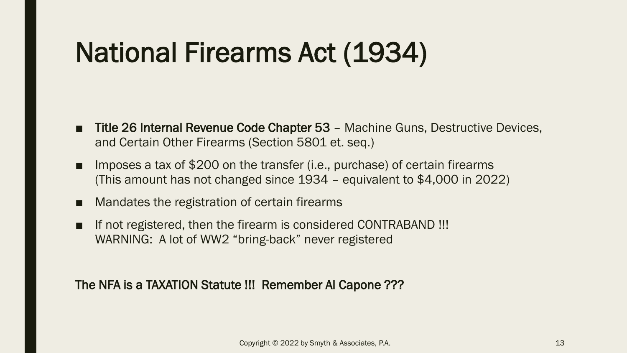### National Firearms Act (1934)

- Title 26 Internal Revenue Code Chapter 53 Machine Guns, Destructive Devices, and Certain Other Firearms (Section 5801 et. seq.)
- Imposes a tax of \$200 on the transfer (i.e., purchase) of certain firearms (This amount has not changed since 1934 – equivalent to \$4,000 in 2022)
- Mandates the registration of certain firearms
- If not registered, then the firearm is considered CONTRABAND !!! WARNING: A lot of WW2 "bring-back" never registered

The NFA is a TAXATION Statute !!! Remember Al Capone ???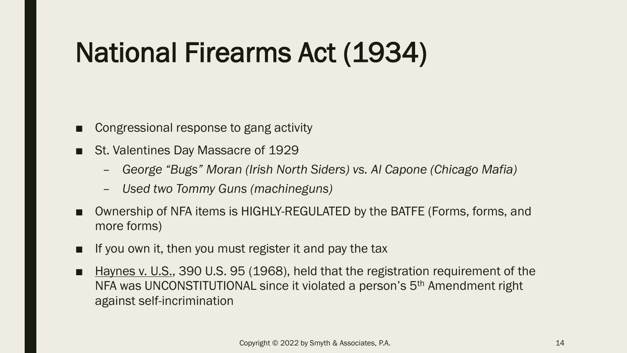## National Firearms Act (1934)

- Congressional response to gang activity
- St. Valentines Day Massacre of 1929
	- *George "Bugs" Moran (Irish North Siders) vs. Al Capone (Chicago Mafia)*
	- *Used two Tommy Guns (machineguns)*
- Ownership of NFA items is HIGHLY-REGULATED by the BATFE (Forms, forms, and more forms)
- If you own it, then you must register it and pay the tax
- Haynes v. U.S., 390 U.S. 95 (1968), held that the registration requirement of the NFA was UNCONSTITUTIONAL since it violated a person's 5th Amendment right against self-incrimination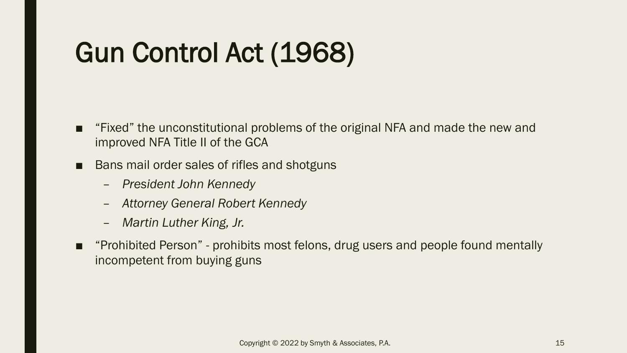## Gun Control Act (1968)

- "Fixed" the unconstitutional problems of the original NFA and made the new and improved NFA Title II of the GCA
- Bans mail order sales of rifles and shotguns
	- *President John Kennedy*
	- *Attorney General Robert Kennedy*
	- *Martin Luther King, Jr.*
- "Prohibited Person" prohibits most felons, drug users and people found mentally incompetent from buying guns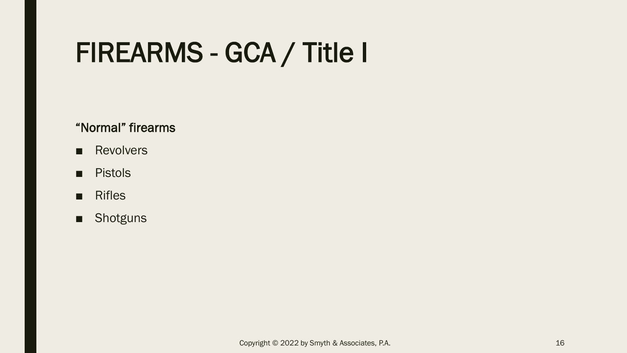#### FIREARMS - GCA / Title I

#### "Normal" firearms

- Revolvers
- Pistols
- Rifles
- Shotguns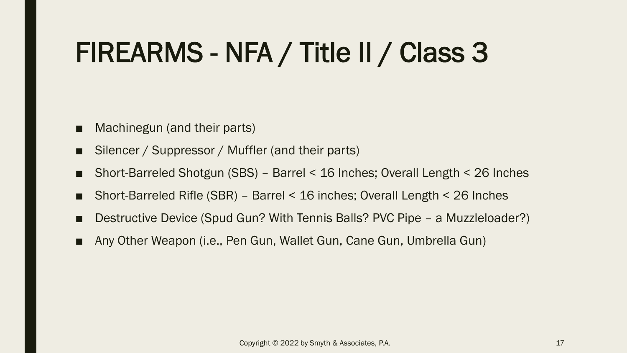## FIREARMS - NFA / Title II / Class 3

- Machinegun (and their parts)
- Silencer / Suppressor / Muffler (and their parts)
- Short-Barreled Shotgun (SBS) Barrel < 16 Inches; Overall Length < 26 Inches
- Short-Barreled Rifle (SBR) Barrel < 16 inches; Overall Length < 26 Inches
- Destructive Device (Spud Gun? With Tennis Balls? PVC Pipe a Muzzleloader?)
- Any Other Weapon (i.e., Pen Gun, Wallet Gun, Cane Gun, Umbrella Gun)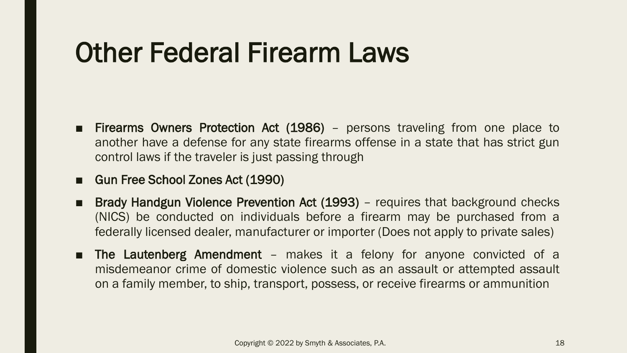#### Other Federal Firearm Laws

- Firearms Owners Protection Act (1986) persons traveling from one place to another have a defense for any state firearms offense in a state that has strict gun control laws if the traveler is just passing through
- Gun Free School Zones Act (1990)
- Brady Handgun Violence Prevention Act (1993) requires that background checks (NICS) be conducted on individuals before a firearm may be purchased from a federally licensed dealer, manufacturer or importer (Does not apply to private sales)
- The Lautenberg Amendment makes it a felony for anyone convicted of a misdemeanor crime of domestic violence such as an assault or attempted assault on a family member, to ship, transport, possess, or receive firearms or ammunition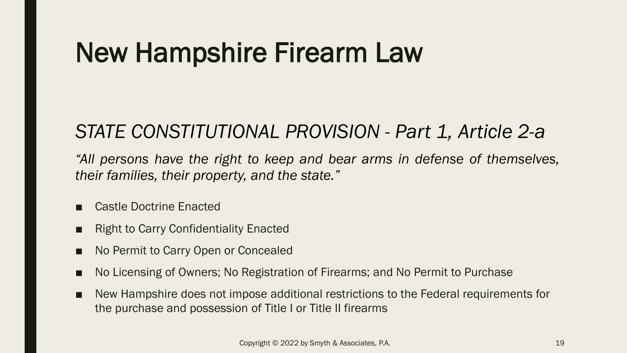#### New Hampshire Firearm Law

#### *STATE CONSTITUTIONAL PROVISION - Part 1, Article 2-a*

*"All persons have the right to keep and bear arms in defense of themselves, their families, their property, and the state."*

- Castle Doctrine Enacted
- Right to Carry Confidentiality Enacted
- No Permit to Carry Open or Concealed
- No Licensing of Owners; No Registration of Firearms; and No Permit to Purchase
- New Hampshire does not impose additional restrictions to the Federal requirements for the purchase and possession of Title I or Title II firearms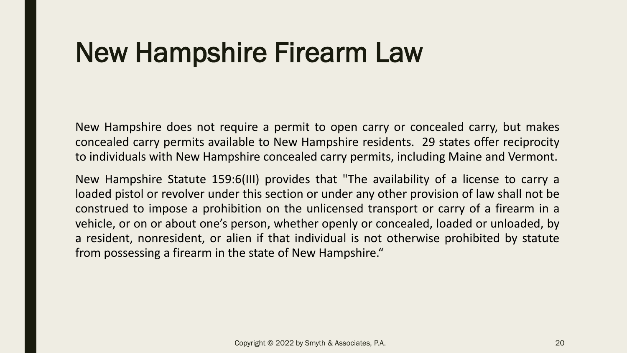#### New Hampshire Firearm Law

New Hampshire does not require a permit to open carry or concealed carry, but makes concealed carry permits available to New Hampshire residents. 29 states offer reciprocity to individuals with New Hampshire concealed carry permits, including Maine and Vermont.

New Hampshire Statute 159:6(III) provides that "The availability of a license to carry a loaded pistol or revolver under this section or under any other provision of law shall not be construed to impose a prohibition on the unlicensed transport or carry of a firearm in a vehicle, or on or about one's person, whether openly or concealed, loaded or unloaded, by a resident, nonresident, or alien if that individual is not otherwise prohibited by statute from possessing a firearm in the state of New Hampshire."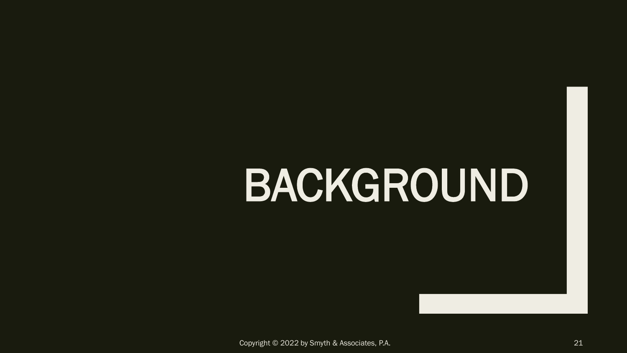## BACKGROUND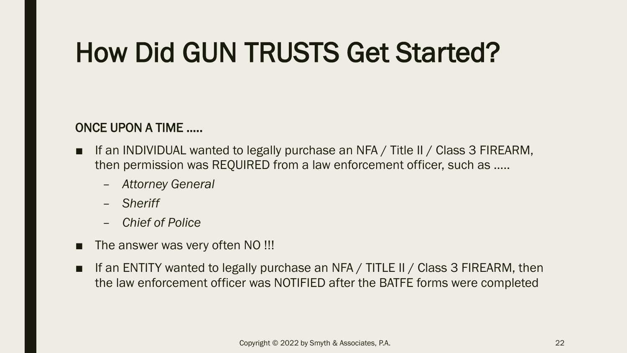### How Did GUN TRUSTS Get Started?

#### ONCE UPON A TIME …..

- If an INDIVIDUAL wanted to legally purchase an NFA / Title II / Class 3 FIREARM, then permission was REQUIRED from a law enforcement officer, such as …..
	- *Attorney General*
	- *Sheriff*
	- *Chief of Police*
- The answer was very often NO !!!
- If an ENTITY wanted to legally purchase an NFA / TITLE II / Class 3 FIREARM, then the law enforcement officer was NOTIFIED after the BATFE forms were completed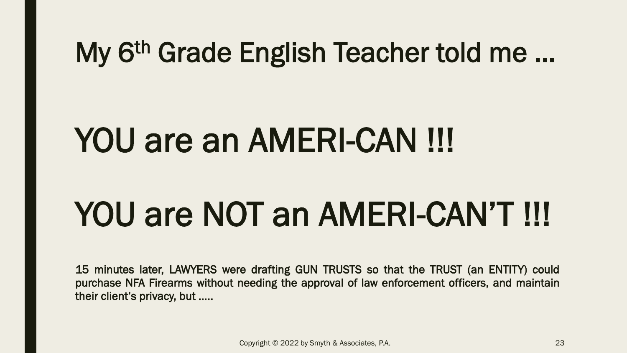#### My 6th Grade English Teacher told me …

## YOU are an AMERI-CAN !!!

## YOU are NOT an AMERI-CAN'T !!!

15 minutes later, LAWYERS were drafting GUN TRUSTS so that the TRUST (an ENTITY) could purchase NFA Firearms without needing the approval of law enforcement officers, and maintain their client's privacy, but …..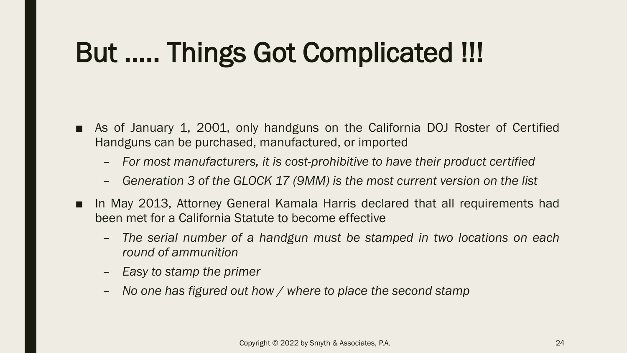## But ….. Things Got Complicated !!!

- As of January 1, 2001, only handguns on the California DOJ Roster of Certified Handguns can be purchased, manufactured, or imported
	- *For most manufacturers, it is cost-prohibitive to have their product certified*
	- *Generation 3 of the GLOCK 17 (9MM) is the most current version on the list*
- In May 2013, Attorney General Kamala Harris declared that all requirements had been met for a California Statute to become effective
	- *The serial number of a handgun must be stamped in two locations on each round of ammunition*
	- *Easy to stamp the primer*
	- *No one has figured out how / where to place the second stamp*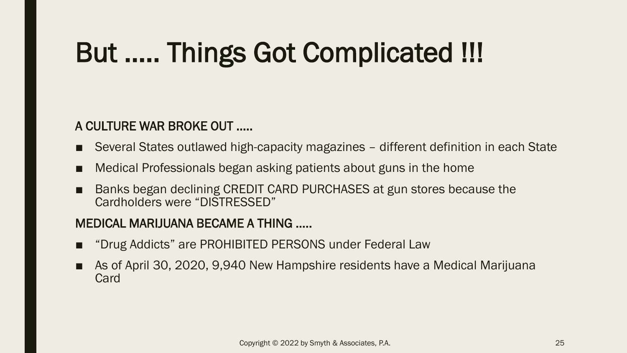## But ….. Things Got Complicated !!!

#### A CULTURE WAR BROKE OUT …..

- Several States outlawed high-capacity magazines different definition in each State
- Medical Professionals began asking patients about guns in the home
- Banks began declining CREDIT CARD PURCHASES at gun stores because the Cardholders were "DISTRESSED"

#### MEDICAL MARIJUANA BECAME A THING …..

- "Drug Addicts" are PROHIBITED PERSONS under Federal Law
- As of April 30, 2020, 9,940 New Hampshire residents have a Medical Marijuana Card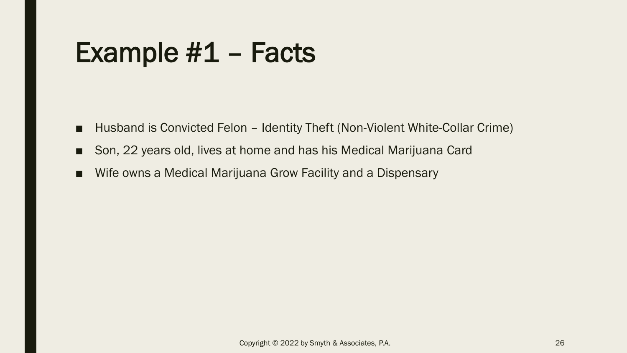#### Example #1 – Facts

- Husband is Convicted Felon Identity Theft (Non-Violent White-Collar Crime)
- Son, 22 years old, lives at home and has his Medical Marijuana Card
- Wife owns a Medical Marijuana Grow Facility and a Dispensary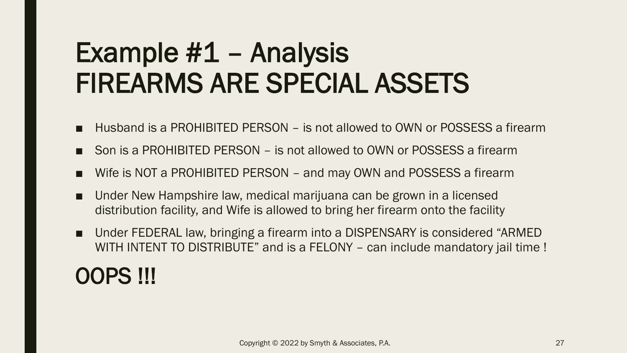#### Example #1 – Analysis FIREARMS ARE SPECIAL ASSETS

- Husband is a PROHIBITED PERSON is not allowed to OWN or POSSESS a firearm
- Son is a PROHIBITED PERSON is not allowed to OWN or POSSESS a firearm
- Wife is NOT a PROHIBITED PERSON and may OWN and POSSESS a firearm
- Under New Hampshire law, medical marijuana can be grown in a licensed distribution facility, and Wife is allowed to bring her firearm onto the facility
- Under FEDERAL law, bringing a firearm into a DISPENSARY is considered "ARMED WITH INTENT TO DISTRIBUTE" and is a FELONY - can include mandatory jail time !

#### OOPS !!!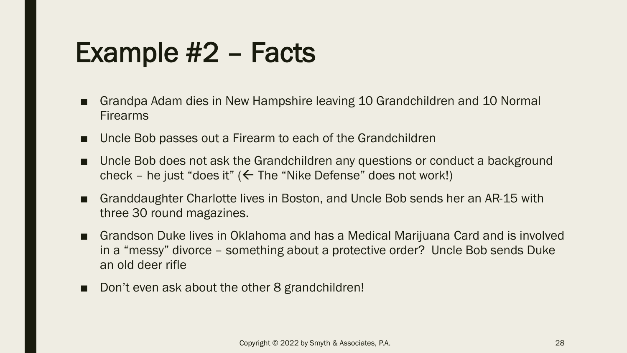#### Example #2 – Facts

- Grandpa Adam dies in New Hampshire leaving 10 Grandchildren and 10 Normal Firearms
- Uncle Bob passes out a Firearm to each of the Grandchildren
- Uncle Bob does not ask the Grandchildren any questions or conduct a background check – he just "does it" ( $\leftarrow$  The "Nike Defense" does not work!)
- Granddaughter Charlotte lives in Boston, and Uncle Bob sends her an AR-15 with three 30 round magazines.
- Grandson Duke lives in Oklahoma and has a Medical Marijuana Card and is involved in a "messy" divorce – something about a protective order? Uncle Bob sends Duke an old deer rifle
- Don't even ask about the other 8 grandchildren!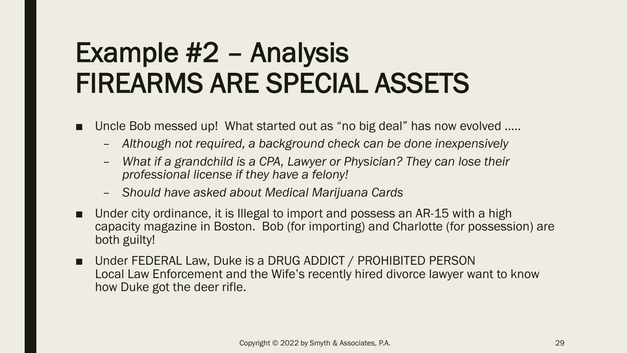#### Example #2 – Analysis FIREARMS ARE SPECIAL ASSETS

- Uncle Bob messed up! What started out as "no big deal" has now evolved .....
	- *Although not required, a background check can be done inexpensively*
	- *What if a grandchild is a CPA, Lawyer or Physician? They can lose their professional license if they have a felony!*
	- *Should have asked about Medical Marijuana Cards*
- Under city ordinance, it is Illegal to import and possess an AR-15 with a high capacity magazine in Boston. Bob (for importing) and Charlotte (for possession) are both guilty!
- Under FEDERAL Law, Duke is a DRUG ADDICT / PROHIBITED PERSON Local Law Enforcement and the Wife's recently hired divorce lawyer want to know how Duke got the deer rifle.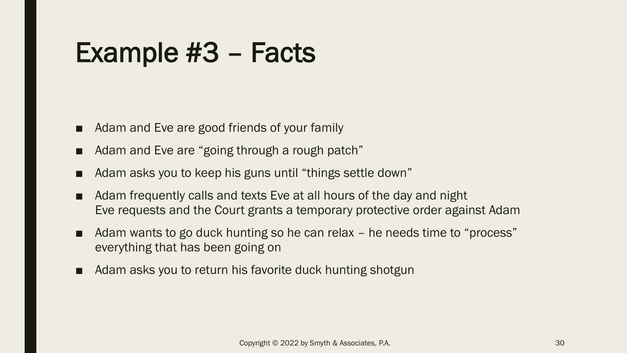#### Example #3 – Facts

- Adam and Eve are good friends of your family
- Adam and Eve are "going through a rough patch"
- Adam asks you to keep his guns until "things settle down"
- Adam frequently calls and texts Eve at all hours of the day and night Eve requests and the Court grants a temporary protective order against Adam
- Adam wants to go duck hunting so he can relax he needs time to "process" everything that has been going on
- Adam asks you to return his favorite duck hunting shotgun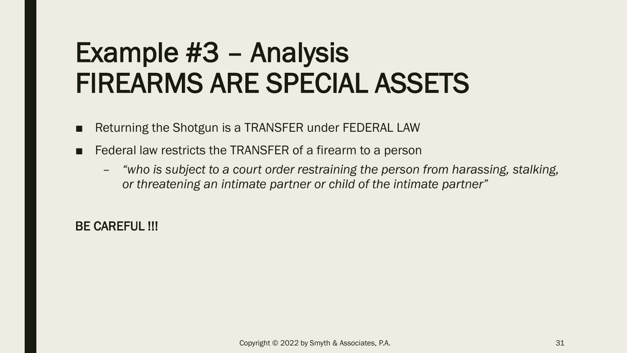#### Example #3 – Analysis FIREARMS ARE SPECIAL ASSETS

- Returning the Shotgun is a TRANSFER under FEDERAL LAW
- Federal law restricts the TRANSFER of a firearm to a person
	- *"who is subject to a court order restraining the person from harassing, stalking, or threatening an intimate partner or child of the intimate partner"*

BE CAREFUL !!!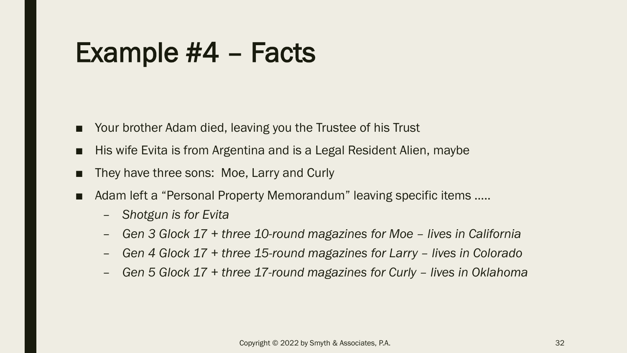#### Example #4 – Facts

- Your brother Adam died, leaving you the Trustee of his Trust
- His wife Evita is from Argentina and is a Legal Resident Alien, maybe
- They have three sons: Moe, Larry and Curly
- Adam left a "Personal Property Memorandum" leaving specific items .....
	- *Shotgun is for Evita*
	- *Gen 3 Glock 17 + three 10-round magazines for Moe – lives in California*
	- *Gen 4 Glock 17 + three 15-round magazines for Larry – lives in Colorado*
	- *Gen 5 Glock 17 + three 17-round magazines for Curly – lives in Oklahoma*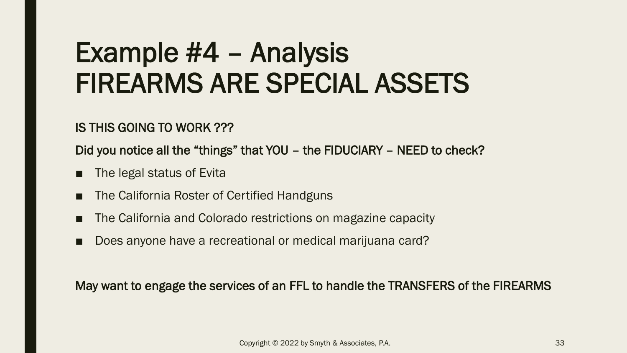#### Example #4 – Analysis FIREARMS ARE SPECIAL ASSETS

IS THIS GOING TO WORK ???

Did you notice all the "things" that YOU – the FIDUCIARY – NEED to check?

- The legal status of Evita
- The California Roster of Certified Handguns
- The California and Colorado restrictions on magazine capacity
- Does anyone have a recreational or medical marijuana card?

May want to engage the services of an FFL to handle the TRANSFERS of the FIREARMS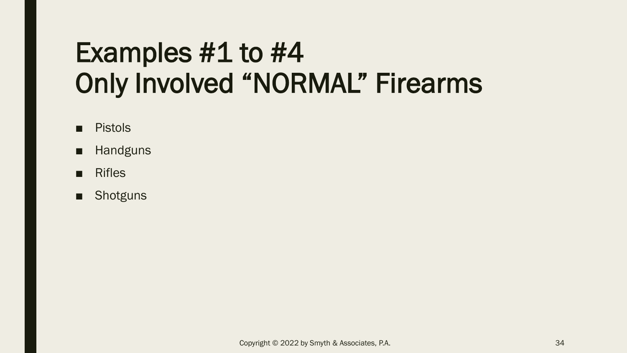#### Examples #1 to #4 Only Involved "NORMAL" Firearms

- Pistols
- Handguns
- Rifles
- Shotguns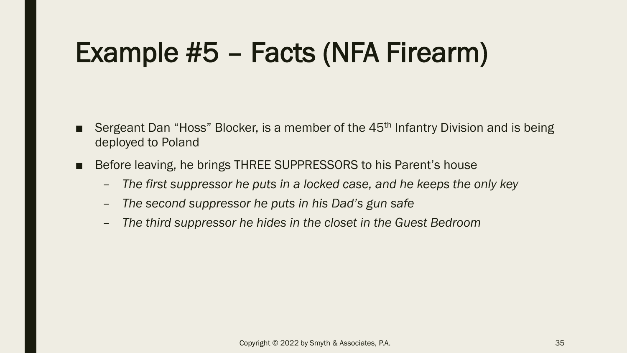### Example #5 – Facts (NFA Firearm)

- Sergeant Dan "Hoss" Blocker, is a member of the 45<sup>th</sup> Infantry Division and is being deployed to Poland
- Before leaving, he brings THREE SUPPRESSORS to his Parent's house
	- *The first suppressor he puts in a locked case, and he keeps the only key*
	- *The second suppressor he puts in his Dad's gun safe*
	- *The third suppressor he hides in the closet in the Guest Bedroom*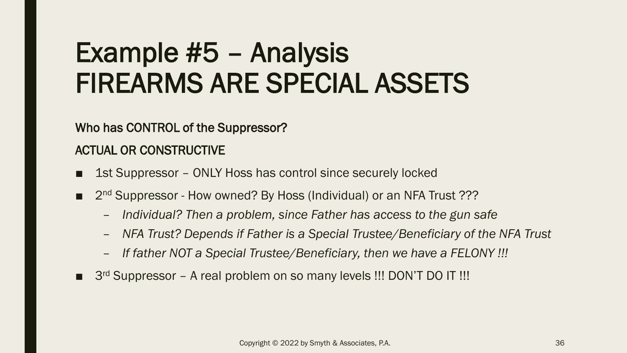#### Example #5 – Analysis FIREARMS ARE SPECIAL ASSETS

Who has CONTROL of the Suppressor?

ACTUAL OR CONSTRUCTIVE

- 1st Suppressor ONLY Hoss has control since securely locked
- 2<sup>nd</sup> Suppressor How owned? By Hoss (Individual) or an NFA Trust ???
	- *Individual? Then a problem, since Father has access to the gun safe*
	- *NFA Trust? Depends if Father is a Special Trustee/Beneficiary of the NFA Trust*
	- *If father NOT a Special Trustee/Beneficiary, then we have a FELONY !!!*
- 3<sup>rd</sup> Suppressor A real problem on so many levels !!! DON'T DO IT !!!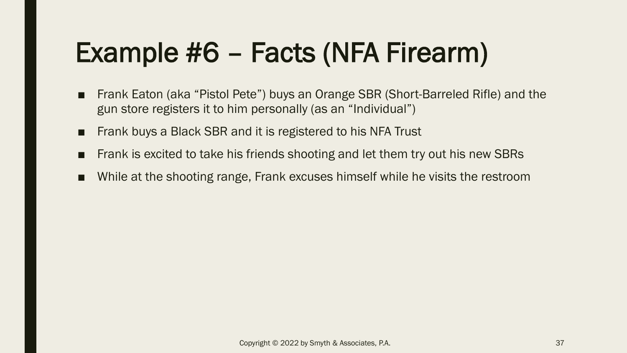## Example #6 – Facts (NFA Firearm)

- Frank Eaton (aka "Pistol Pete") buys an Orange SBR (Short-Barreled Rifle) and the gun store registers it to him personally (as an "Individual")
- Frank buys a Black SBR and it is registered to his NFA Trust
- Frank is excited to take his friends shooting and let them try out his new SBRs
- While at the shooting range, Frank excuses himself while he visits the restroom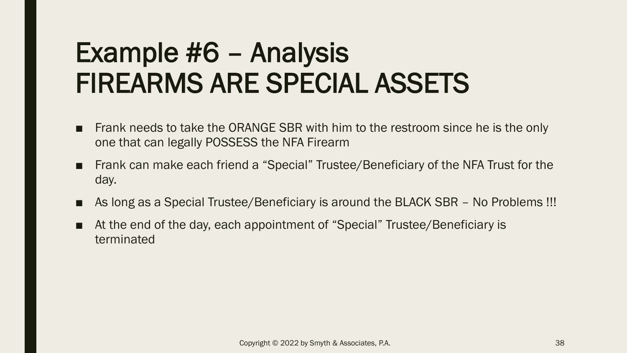#### Example #6 – Analysis FIREARMS ARE SPECIAL ASSETS

- Frank needs to take the ORANGE SBR with him to the restroom since he is the only one that can legally POSSESS the NFA Firearm
- Frank can make each friend a "Special" Trustee/Beneficiary of the NFA Trust for the day.
- As long as a Special Trustee/Beneficiary is around the BLACK SBR No Problems !!!
- At the end of the day, each appointment of "Special" Trustee/Beneficiary is terminated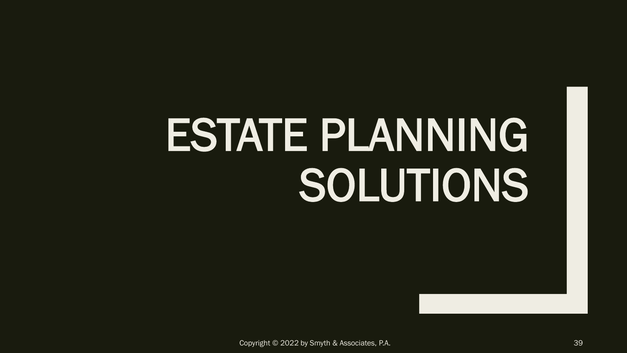# ESTATE PLANNING SOLUTIONS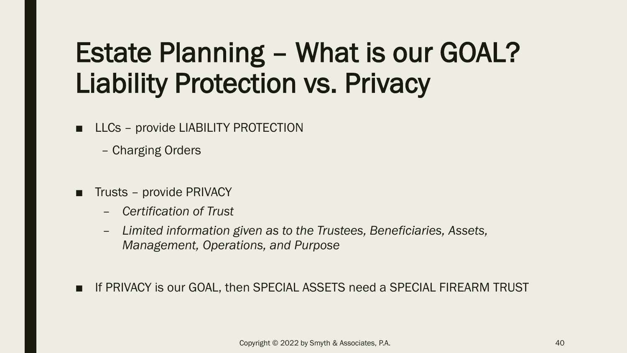#### Estate Planning – What is our GOAL? Liability Protection vs. Privacy

■ LLCs – provide LIABILITY PROTECTION

– Charging Orders

- Trusts provide PRIVACY
	- *Certification of Trust*
	- *Limited information given as to the Trustees, Beneficiaries, Assets, Management, Operations, and Purpose*
- If PRIVACY is our GOAL, then SPECIAL ASSETS need a SPECIAL FIREARM TRUST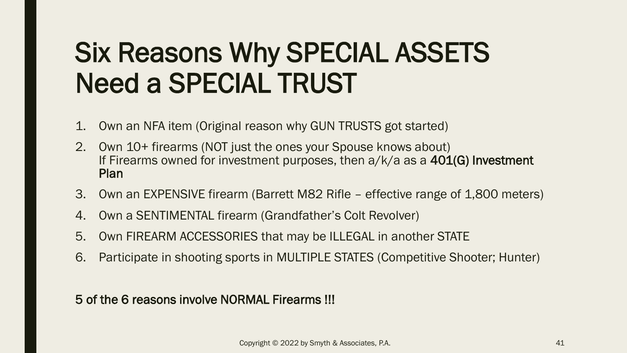### Six Reasons Why SPECIAL ASSETS Need a SPECIAL TRUST

- 1. Own an NFA item (Original reason why GUN TRUSTS got started)
- 2. Own 10+ firearms (NOT just the ones your Spouse knows about) If Firearms owned for investment purposes, then  $a/k/a$  as a  $401(G)$  Investment Plan
- 3. Own an EXPENSIVE firearm (Barrett M82 Rifle effective range of 1,800 meters)
- 4. Own a SENTIMENTAL firearm (Grandfather's Colt Revolver)
- 5. Own FIREARM ACCESSORIES that may be ILLEGAL in another STATE
- 6. Participate in shooting sports in MULTIPLE STATES (Competitive Shooter; Hunter)

5 of the 6 reasons involve NORMAL Firearms !!!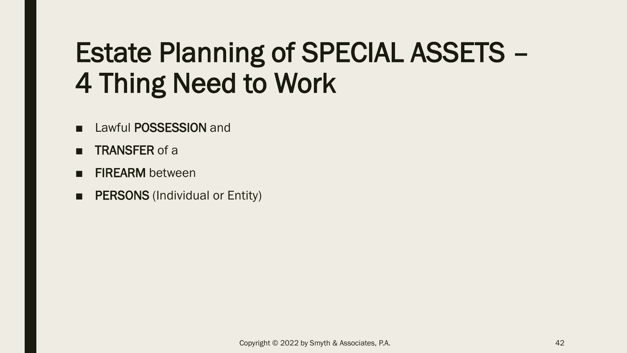### Estate Planning of SPECIAL ASSETS – 4 Thing Need to Work

- Lawful POSSESSION and
- TRANSFER of a
- FIREARM between
- **PERSONS** (Individual or Entity)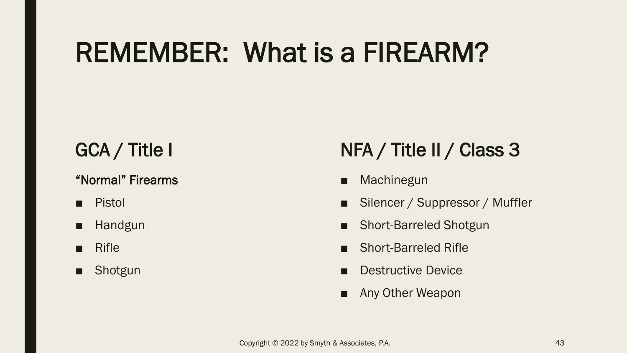#### REMEMBER: What is a FIREARM?

#### GCA / Title I

#### "Normal" Firearms

- Pistol
- Handgun
- Rifle
- Shotgun

#### NFA / Title II / Class 3

- **Machinegun**
- Silencer / Suppressor / Muffler
- **Short-Barreled Shotgun**
- Short-Barreled Rifle
- Destructive Device
- Any Other Weapon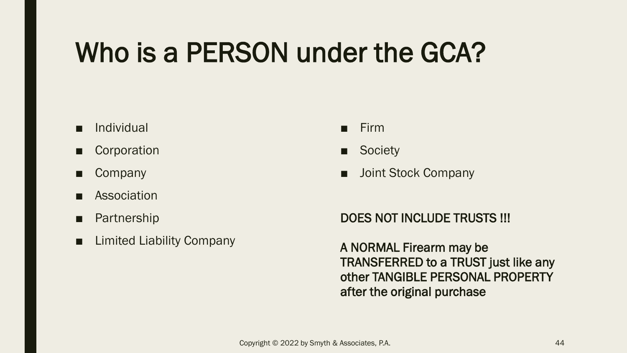### Who is a PERSON under the GCA?

- Individual
- Corporation
- Company
- Association
- Partnership
- Limited Liability Company
- Firm
- Society
- Joint Stock Company

#### DOES NOT INCLUDE TRUSTS !!!

A NORMAL Firearm may be TRANSFERRED to a TRUST just like any other TANGIBLE PERSONAL PROPERTY after the original purchase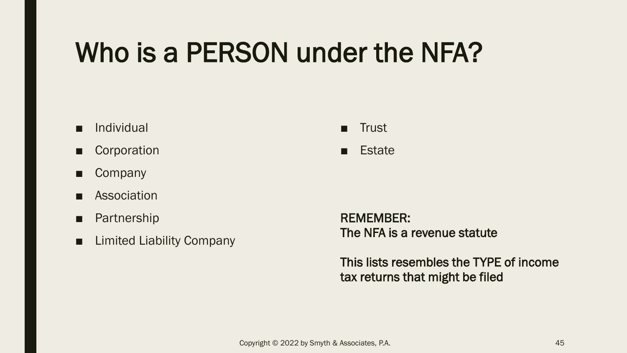#### Who is a PERSON under the NFA?

- Individual
- Corporation
- Company
- Association
- Partnership
- Limited Liability Company

■ Trust

■ Estate

REMEMBER: The NFA is a revenue statute

This lists resembles the TYPE of income tax returns that might be filed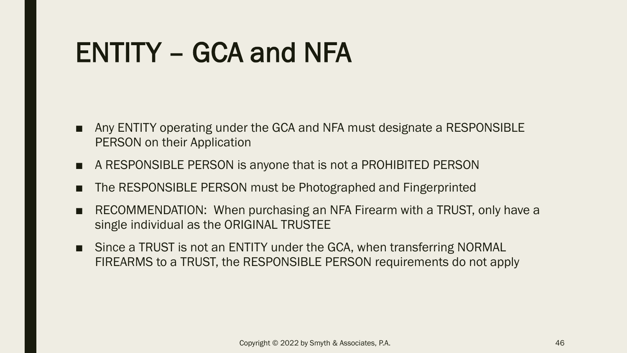#### ENTITY – GCA and NFA

- Any ENTITY operating under the GCA and NFA must designate a RESPONSIBLE PERSON on their Application
- A RESPONSIBLE PERSON is anyone that is not a PROHIBITED PERSON
- The RESPONSIBLE PERSON must be Photographed and Fingerprinted
- RECOMMENDATION: When purchasing an NFA Firearm with a TRUST, only have a single individual as the ORIGINAL TRUSTEE
- Since a TRUST is not an ENTITY under the GCA, when transferring NORMAL FIREARMS to a TRUST, the RESPONSIBLE PERSON requirements do not apply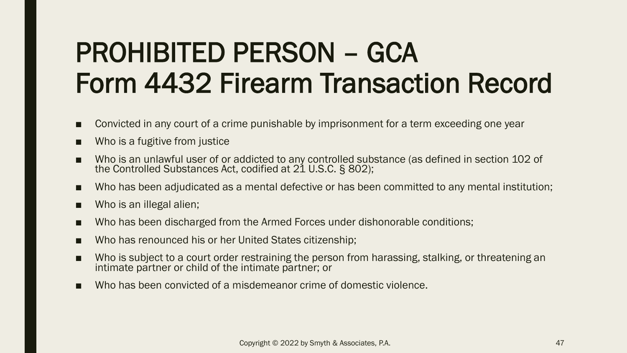#### PROHIBITED PERSON – GCA Form 4432 Firearm Transaction Record

- Convicted in any court of a crime punishable by imprisonment for a term exceeding one year
- Who is a fugitive from justice
- Who is an unlawful user of or addicted to any controlled substance (as defined in section 102 of the Controlled Substances Act, codified at 21 U.S.C. § 802);
- Who has been adjudicated as a mental defective or has been committed to any mental institution;
- Who is an illegal alien;
- Who has been discharged from the Armed Forces under dishonorable conditions;
- Who has renounced his or her United States citizenship;
- Who is subject to a court order restraining the person from harassing, stalking, or threatening an intimate partner or child of the intimate partner; or
- Who has been convicted of a misdemeanor crime of domestic violence.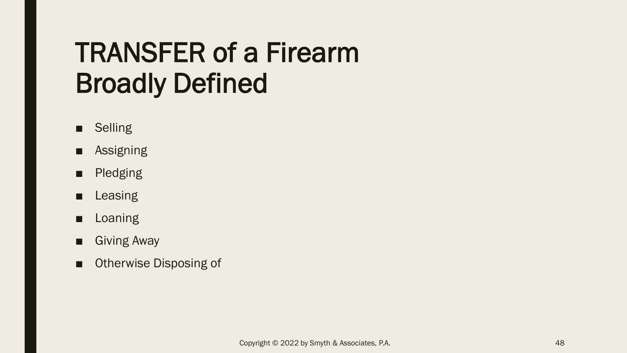#### TRANSFER of a Firearm Broadly Defined

- Selling
- Assigning
- Pledging
- Leasing
- Loaning
- Giving Away
- Otherwise Disposing of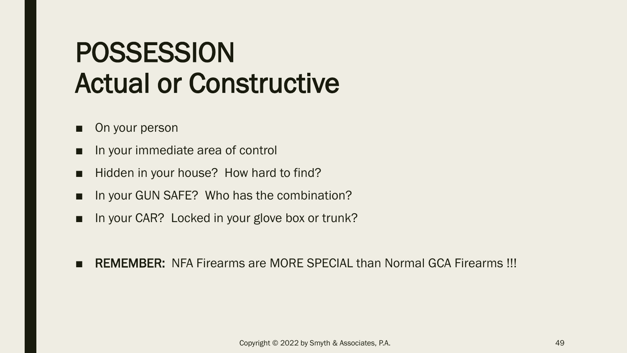#### POSSESSION Actual or Constructive

- On your person
- In your immediate area of control
- Hidden in your house? How hard to find?
- In your GUN SAFE? Who has the combination?
- In your CAR? Locked in your glove box or trunk?
- REMEMBER: NFA Firearms are MORE SPECIAL than Normal GCA Firearms !!!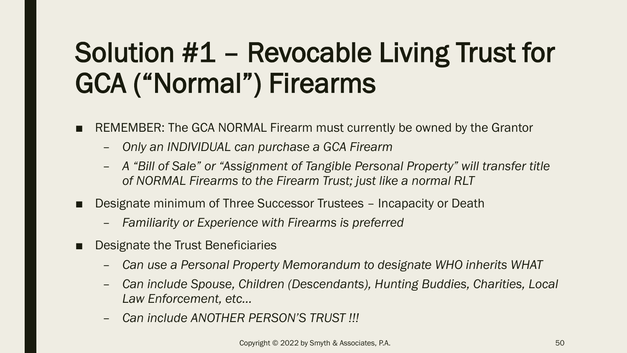## Solution #1 – Revocable Living Trust for GCA ("Normal") Firearms

- REMEMBER: The GCA NORMAL Firearm must currently be owned by the Grantor
	- *Only an INDIVIDUAL can purchase a GCA Firearm*
	- *A "Bill of Sale" or "Assignment of Tangible Personal Property" will transfer title of NORMAL Firearms to the Firearm Trust; just like a normal RLT*
- Designate minimum of Three Successor Trustees Incapacity or Death
	- *Familiarity or Experience with Firearms is preferred*
- Designate the Trust Beneficiaries
	- *Can use a Personal Property Memorandum to designate WHO inherits WHAT*
	- *Can include Spouse, Children (Descendants), Hunting Buddies, Charities, Local Law Enforcement, etc…*
	- *Can include ANOTHER PERSON'S TRUST !!!*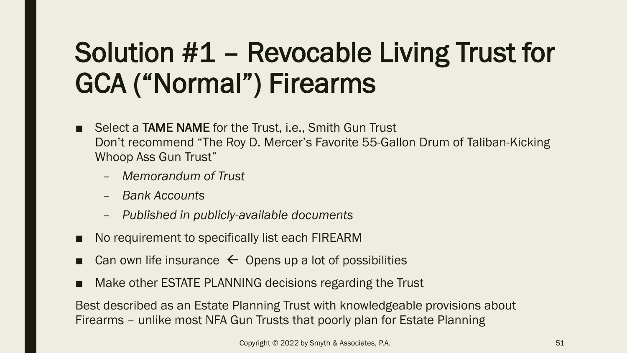## Solution #1 – Revocable Living Trust for GCA ("Normal") Firearms

- Select a **TAME NAME** for the Trust, i.e., Smith Gun Trust Don't recommend "The Roy D. Mercer's Favorite 55-Gallon Drum of Taliban-Kicking Whoop Ass Gun Trust"
	- *Memorandum of Trust*
	- *Bank Accounts*
	- *Published in publicly-available documents*
- No requirement to specifically list each FIREARM
- Can own life insurance  $\leftarrow$  Opens up a lot of possibilities
- Make other ESTATE PLANNING decisions regarding the Trust

Best described as an Estate Planning Trust with knowledgeable provisions about Firearms – unlike most NFA Gun Trusts that poorly plan for Estate Planning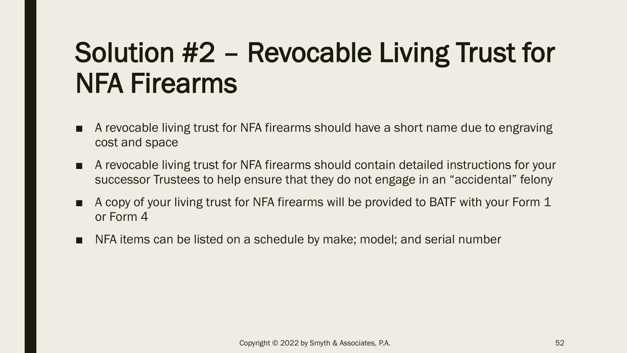### Solution #2 – Revocable Living Trust for NFA Firearms

- A revocable living trust for NFA firearms should have a short name due to engraving cost and space
- A revocable living trust for NFA firearms should contain detailed instructions for your successor Trustees to help ensure that they do not engage in an "accidental" felony
- A copy of your living trust for NFA firearms will be provided to BATF with your Form 1 or Form 4
- NFA items can be listed on a schedule by make; model; and serial number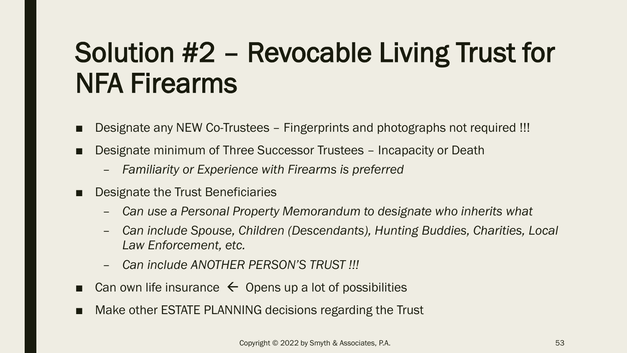### Solution #2 – Revocable Living Trust for NFA Firearms

- Designate any NEW Co-Trustees Fingerprints and photographs not required !!!
- Designate minimum of Three Successor Trustees Incapacity or Death
	- *Familiarity or Experience with Firearms is preferred*
- Designate the Trust Beneficiaries
	- *Can use a Personal Property Memorandum to designate who inherits what*
	- *Can include Spouse, Children (Descendants), Hunting Buddies, Charities, Local Law Enforcement, etc.*
	- *Can include ANOTHER PERSON'S TRUST !!!*
- Can own life insurance  $\leftarrow$  Opens up a lot of possibilities
- Make other ESTATE PLANNING decisions regarding the Trust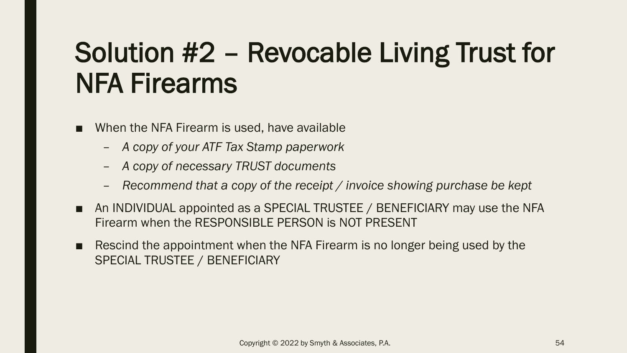### Solution #2 – Revocable Living Trust for NFA Firearms

- When the NFA Firearm is used, have available
	- *A copy of your ATF Tax Stamp paperwork*
	- *A copy of necessary TRUST documents*
	- *Recommend that a copy of the receipt / invoice showing purchase be kept*
- An INDIVIDUAL appointed as a SPECIAL TRUSTEE / BENEFICIARY may use the NFA Firearm when the RESPONSIBLE PERSON is NOT PRESENT
- Rescind the appointment when the NFA Firearm is no longer being used by the SPECIAL TRUSTEE / BENEFICIARY